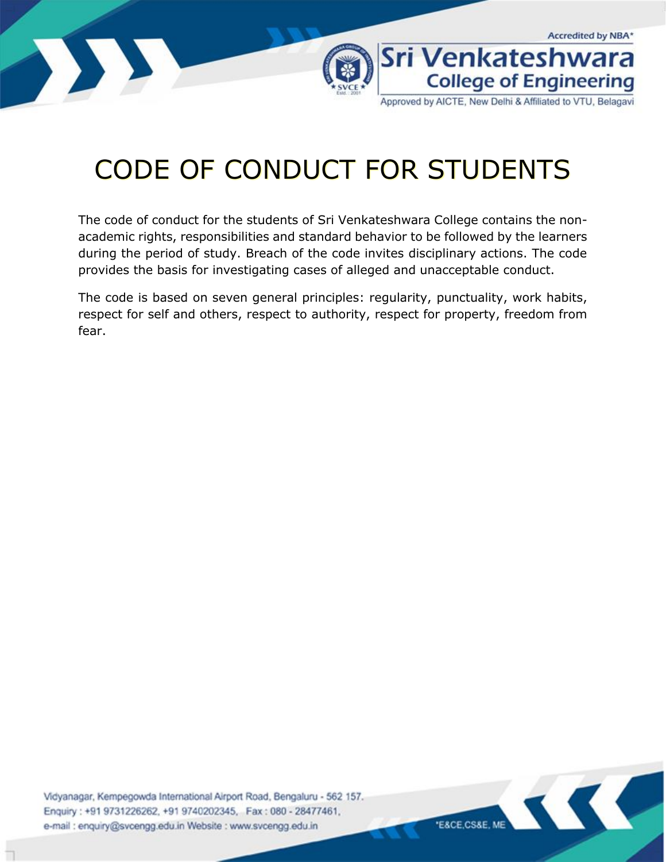

Approved by AICTE, New Delhi & Affiliated to VTU, Belagavi

# CODE OF CONDUCT FOR STUDENTS

The code of conduct for the students of Sri Venkateshwara College contains the nonacademic rights, responsibilities and standard behavior to be followed by the learners during the period of study. Breach of the code invites disciplinary actions. The code provides the basis for investigating cases of alleged and unacceptable conduct.

The code is based on seven general principles: regularity, punctuality, work habits, respect for self and others, respect to authority, respect for property, freedom from fear.

Vidyanagar, Kempegowda International Airport Road, Bengaluru - 562 157. Enquiry: +91 9731226262, +91 9740202345, Fax: 080 - 28477461, e-mail : enquiry@svcengg.edu.in Website : www.svcengg.edu.in

**ESCE CSSE ME**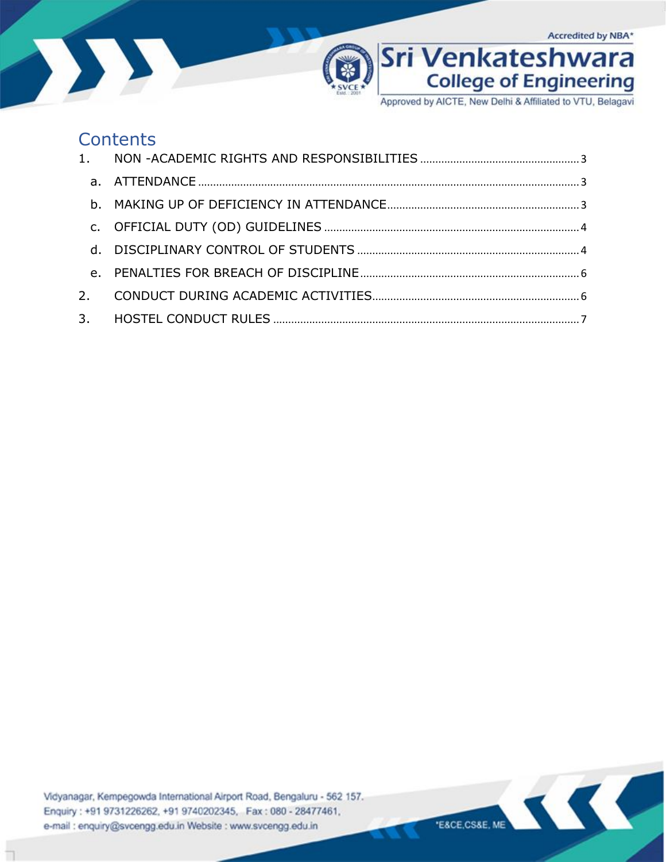



Approved by AICTE, New Delhi & Affiliated to VTU, Belagavi

### Contents

Vidyanagar, Kempegowda International Airport Road, Bengaluru - 562 157. Enquiry: +91 9731226262, +91 9740202345, Fax: 080 - 28477461, e-mail : enquiry@svcengg.edu.in Website : www.svcengg.edu.in

KC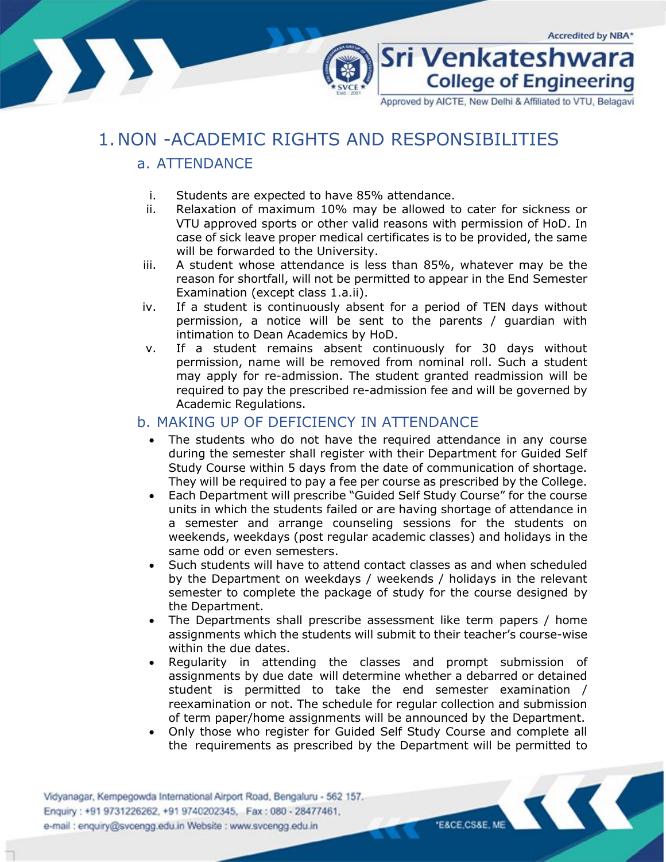

**College of Engineering** 

Sri Venkateshwara

Approved by AICTE, New Delhi & Affiliated to VTU, Belagavi

## <span id="page-2-1"></span><span id="page-2-0"></span>1.NON -ACADEMIC RIGHTS AND RESPONSIBILITIES

#### a. ATTENDANCE

- i. Students are expected to have 85% attendance.
- ii. Relaxation of maximum 10% may be allowed to cater for sickness or VTU approved sports or other valid reasons with permission of HoD. In case of sick leave proper medical certificates is to be provided, the same will be forwarded to the University.
- iii. A student whose attendance is less than 85%, whatever may be the reason for shortfall, will not be permitted to appear in the End Semester Examination (except class 1.a.ii).
- iv. If a student is continuously absent for a period of TEN days without permission, a notice will be sent to the parents / guardian with intimation to Dean Academics by HoD.
- v. If a student remains absent continuously for 30 days without permission, name will be removed from nominal roll. Such a student may apply for re-admission. The student granted readmission will be required to pay the prescribed re-admission fee and will be governed by Academic Regulations.

#### <span id="page-2-2"></span>b. MAKING UP OF DEFICIENCY IN ATTENDANCE

- The students who do not have the required attendance in any course during the semester shall register with their Department for Guided Self Study Course within 5 days from the date of communication of shortage. They will be required to pay a fee per course as prescribed by the College.
- Each Department will prescribe "Guided Self Study Course" for the course units in which the students failed or are having shortage of attendance in a semester and arrange counseling sessions for the students on weekends, weekdays (post regular academic classes) and holidays in the same odd or even semesters.
- Such students will have to attend contact classes as and when scheduled by the Department on weekdays / weekends / holidays in the relevant semester to complete the package of study for the course designed by the Department.
- The Departments shall prescribe assessment like term papers / home assignments which the students will submit to their teacher's course-wise within the due dates.
- Regularity in attending the classes and prompt submission of assignments by due date will determine whether a debarred or detained student is permitted to take the end semester examination / reexamination or not. The schedule for regular collection and submission of term paper/home assignments will be announced by the Department.
- Only those who register for Guided Self Study Course and complete all the requirements as prescribed by the Department will be permitted to

Vidyanagar, Kempegowda International Airport Road, Bengaluru - 562 157. Enquiry: +91 9731226262, +91 9740202345, Fax: 080 - 28477461, e-mail : enquiry@svcengg.edu.in Website : www.svcengg.edu.in

**E&CE.CS&E, ME**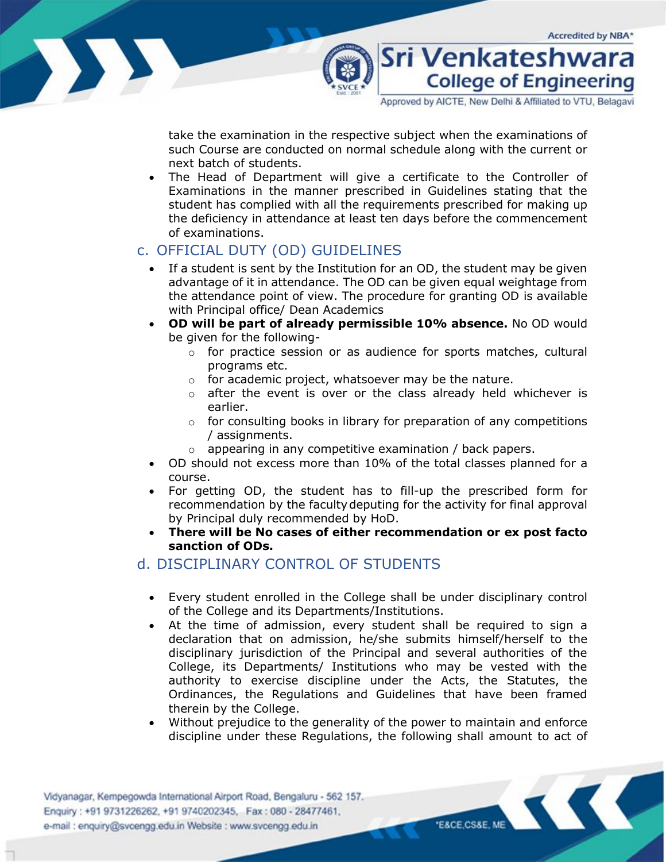

take the examination in the respective subject when the examinations of such Course are conducted on normal schedule along with the current or next batch of students.

The Head of Department will give a certificate to the Controller of Examinations in the manner prescribed in Guidelines stating that the student has complied with all the requirements prescribed for making up the deficiency in attendance at least ten days before the commencement of examinations.

#### <span id="page-3-0"></span>c. OFFICIAL DUTY (OD) GUIDELINES

- If a student is sent by the Institution for an OD, the student may be given advantage of it in attendance. The OD can be given equal weightage from the attendance point of view. The procedure for granting OD is available with Principal office/ Dean Academics
- **OD will be part of already permissible 10% absence.** No OD would be given for the following
	- o for practice session or as audience for sports matches, cultural programs etc.
	- o for academic project, whatsoever may be the nature.
	- o after the event is over or the class already held whichever is earlier.
	- $\circ$  for consulting books in library for preparation of any competitions / assignments.
	- o appearing in any competitive examination / back papers.
- OD should not excess more than 10% of the total classes planned for a course.
- For getting OD, the student has to fill-up the prescribed form for recommendation by the facultydeputing for the activity for final approval by Principal duly recommended by HoD.
- **There will be No cases of either recommendation or ex post facto sanction of ODs.**

#### <span id="page-3-1"></span>d. DISCIPLINARY CONTROL OF STUDENTS

- Every student enrolled in the College shall be under disciplinary control of the College and its Departments/Institutions.
- At the time of admission, every student shall be required to sign a declaration that on admission, he/she submits himself/herself to the disciplinary jurisdiction of the Principal and several authorities of the College, its Departments/ Institutions who may be vested with the authority to exercise discipline under the Acts, the Statutes, the Ordinances, the Regulations and Guidelines that have been framed therein by the College.
- Without prejudice to the generality of the power to maintain and enforce discipline under these Regulations, the following shall amount to act of

Vidyanagar, Kempegowda International Airport Road, Bengaluru - 562 157. Enquiry: +91 9731226262, +91 9740202345, Fax: 080 - 28477461, e-mail : enquiry@svcengg.edu.in Website : www.svcengg.edu.in

"E&CE,CS&E, ME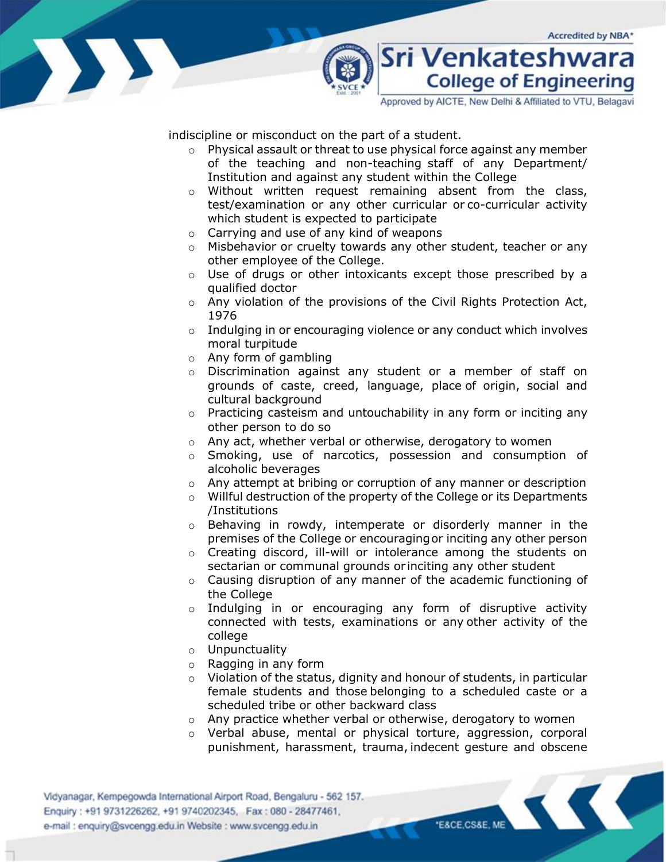

Approved by AICTE, New Delhi & Affiliated to VTU, Belagavi

indiscipline or misconduct on the part of a student.

- o Physical assault or threat to use physical force against any member of the teaching and non-teaching staff of any Department/ Institution and against any student within the College
- o Without written request remaining absent from the class, test/examination or any other curricular or co-curricular activity which student is expected to participate
- o Carrying and use of any kind of weapons
- o Misbehavior or cruelty towards any other student, teacher or any other employee of the College.
- o Use of drugs or other intoxicants except those prescribed by a qualified doctor
- o Any violation of the provisions of the Civil Rights Protection Act, 1976
- o Indulging in or encouraging violence or any conduct which involves moral turpitude
- $\circ$  Any form of gambling
- o Discrimination against any student or a member of staff on grounds of caste, creed, language, place of origin, social and cultural background
- o Practicing casteism and untouchability in any form or inciting any other person to do so
- o Any act, whether verbal or otherwise, derogatory to women
- o Smoking, use of narcotics, possession and consumption of alcoholic beverages
- o Any attempt at bribing or corruption of any manner or description
- o Willful destruction of the property of the College or its Departments /Institutions
- o Behaving in rowdy, intemperate or disorderly manner in the premises of the College or encouragingor inciting any other person
- o Creating discord, ill-will or intolerance among the students on sectarian or communal grounds or inciting any other student
- o Causing disruption of any manner of the academic functioning of the College
- o Indulging in or encouraging any form of disruptive activity connected with tests, examinations or any other activity of the college
- o Unpunctuality
- o Ragging in any form
- $\circ$  Violation of the status, dignity and honour of students, in particular female students and those belonging to a scheduled caste or a scheduled tribe or other backward class
- o Any practice whether verbal or otherwise, derogatory to women
- $\circ$  Verbal abuse, mental or physical torture, aggression, corporal punishment, harassment, trauma, indecent gesture and obscene

Vidyanagar, Kempegowda International Airport Road, Bengaluru - 562 157. Enquiry: +91 9731226262, +91 9740202345, Fax: 080 - 28477461, e-mail : enquiry@svcengg.edu.in Website : www.svcengg.edu.in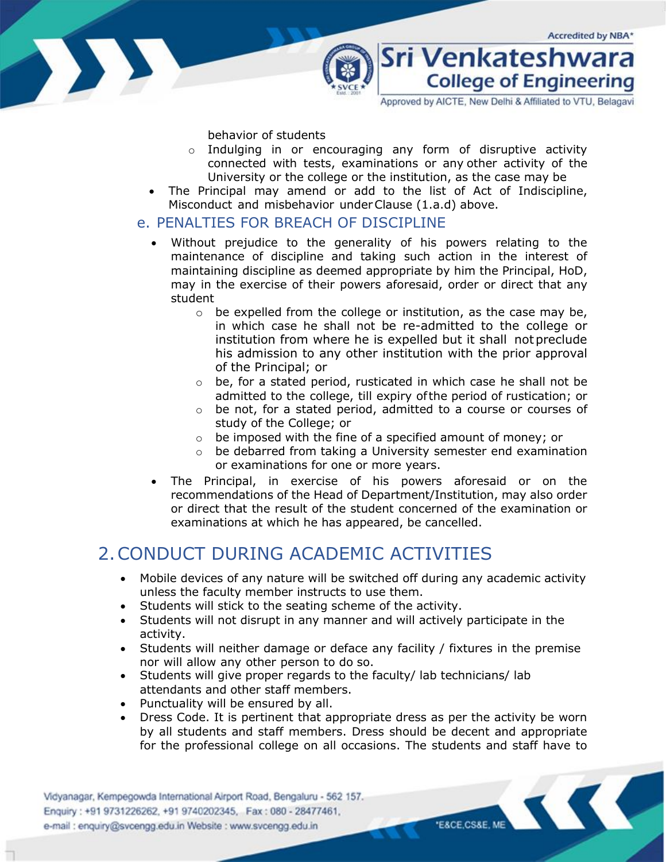Sri Venkateshwara

Approved by AICTE, New Delhi & Affiliated to VTU, Belagavi

**College of Engineering** 



behavior of students

- o Indulging in or encouraging any form of disruptive activity connected with tests, examinations or any other activity of the University or the college or the institution, as the case may be
- The Principal may amend or add to the list of Act of Indiscipline, Misconduct and misbehavior underClause (1.a.d) above.

#### <span id="page-5-0"></span>e. PENALTIES FOR BREACH OF DISCIPLINE

- Without prejudice to the generality of his powers relating to the maintenance of discipline and taking such action in the interest of maintaining discipline as deemed appropriate by him the Principal, HoD, may in the exercise of their powers aforesaid, order or direct that any student
	- $\circ$  be expelled from the college or institution, as the case may be, in which case he shall not be re-admitted to the college or institution from where he is expelled but it shall notpreclude his admission to any other institution with the prior approval of the Principal; or
	- o be, for a stated period, rusticated in which case he shall not be admitted to the college, till expiry ofthe period of rustication; or
	- o be not, for a stated period, admitted to a course or courses of study of the College; or
	- o be imposed with the fine of a specified amount of money; or
	- o be debarred from taking a University semester end examination or examinations for one or more years.
- The Principal, in exercise of his powers aforesaid or on the recommendations of the Head of Department/Institution, may also order or direct that the result of the student concerned of the examination or examinations at which he has appeared, be cancelled.

## <span id="page-5-1"></span>2.CONDUCT DURING ACADEMIC ACTIVITIES

- Mobile devices of any nature will be switched off during any academic activity unless the faculty member instructs to use them.
- Students will stick to the seating scheme of the activity.
- Students will not disrupt in any manner and will actively participate in the activity.
- Students will neither damage or deface any facility / fixtures in the premise nor will allow any other person to do so.
- Students will give proper regards to the faculty/ lab technicians/ lab attendants and other staff members.
- Punctuality will be ensured by all.
- Dress Code. It is pertinent that appropriate dress as per the activity be worn by all students and staff members. Dress should be decent and appropriate for the professional college on all occasions. The students and staff have to

Vidyanagar, Kempegowda International Airport Road, Bengaluru - 562 157. Enquiry: +91 9731226262, +91 9740202345, Fax: 080 - 28477461, e-mail : enquiry@svcengg.edu.in Website : www.svcengg.edu.in

**E&CE,CS&E, ME**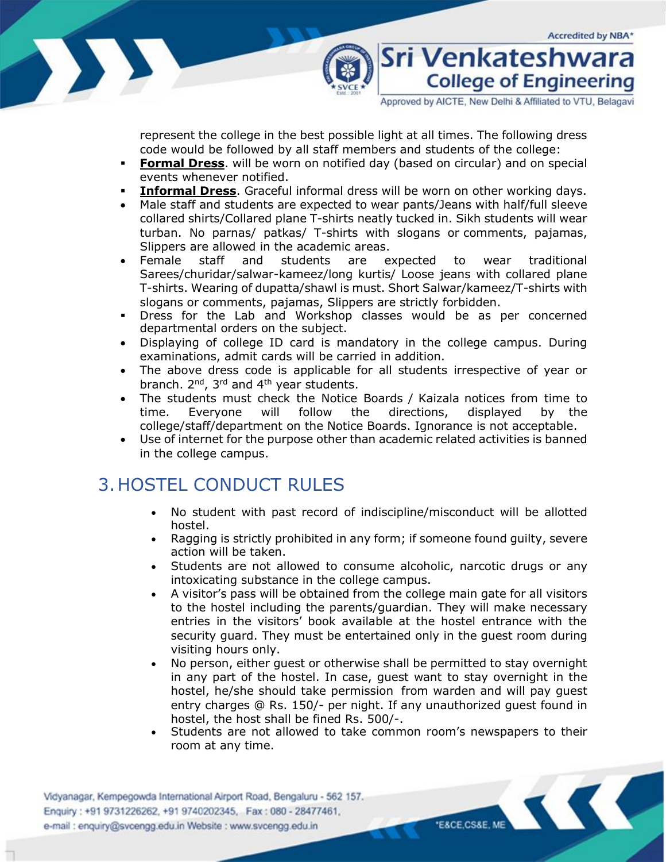

Approved by AICTE, New Delhi & Affiliated to VTU, Belagavi

Sri Venkateshwara

**College of Engineering** 

represent the college in the best possible light at all times. The following dress code would be followed by all staff members and students of the college:

- **Formal Dress**. will be worn on notified day (based on circular) and on special events whenever notified.
- **Informal Dress**. Graceful informal dress will be worn on other working days.
- Male staff and students are expected to wear pants/Jeans with half/full sleeve collared shirts/Collared plane T-shirts neatly tucked in. Sikh students will wear turban. No parnas/ patkas/ T-shirts with slogans or comments, pajamas, Slippers are allowed in the academic areas.
- Female staff and students are expected to wear traditional Sarees/churidar/salwar-kameez/long kurtis/ Loose jeans with collared plane T-shirts. Wearing of dupatta/shawl is must. Short Salwar/kameez/T-shirts with slogans or comments, pajamas, Slippers are strictly forbidden.
- **•** Dress for the Lab and Workshop classes would be as per concerned departmental orders on the subject.
- Displaying of college ID card is mandatory in the college campus. During examinations, admit cards will be carried in addition.
- The above dress code is applicable for all students irrespective of year or branch. 2<sup>nd</sup>, 3<sup>rd</sup> and 4<sup>th</sup> year students.
- The students must check the Notice Boards / Kaizala notices from time to time. Everyone will follow the directions, displayed by the college/staff/department on the Notice Boards. Ignorance is not acceptable.
- Use of internet for the purpose other than academic related activities is banned in the college campus.

## <span id="page-6-0"></span>3.HOSTEL CONDUCT RULES

- No student with past record of indiscipline/misconduct will be allotted hostel.
- Ragging is strictly prohibited in any form; if someone found guilty, severe action will be taken.
- Students are not allowed to consume alcoholic, narcotic drugs or any intoxicating substance in the college campus.
- A visitor's pass will be obtained from the college main gate for all visitors to the hostel including the parents/guardian. They will make necessary entries in the visitors' book available at the hostel entrance with the security guard. They must be entertained only in the guest room during visiting hours only.
- No person, either guest or otherwise shall be permitted to stay overnight in any part of the hostel. In case, guest want to stay overnight in the hostel, he/she should take permission from warden and will pay guest entry charges @ Rs. 150/- per night. If any unauthorized guest found in hostel, the host shall be fined Rs. 500/-.
- Students are not allowed to take common room's newspapers to their room at any time.

Vidyanagar, Kempegowda International Airport Road, Bengaluru - 562 157. Enquiry: +91 9731226262, +91 9740202345, Fax: 080 - 28477461, e-mail : enquiry@svcengg.edu.in Website : www.svcengg.edu.in

"E&CE,CS&E, ME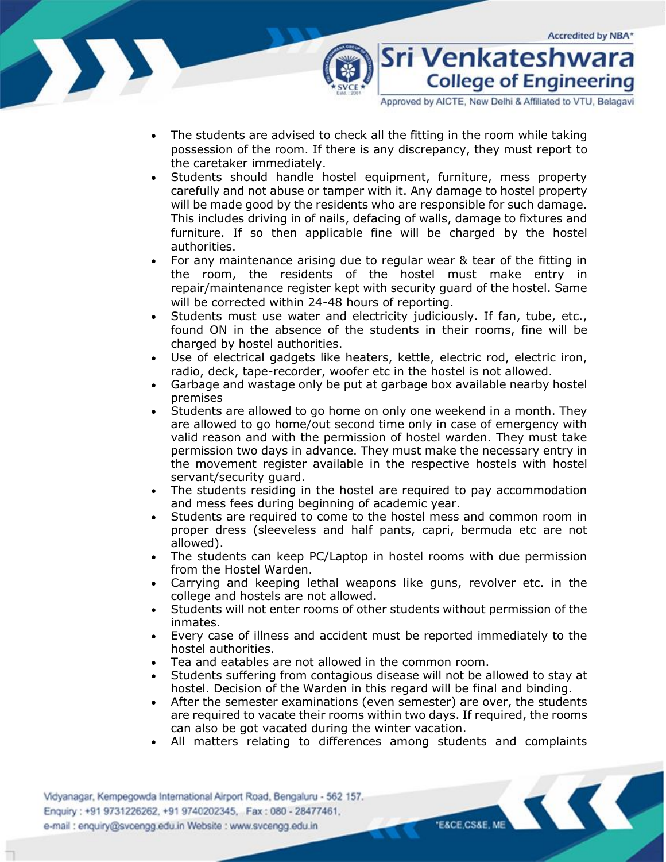

Approved by AICTE, New Delhi & Affiliated to VTU, Belagavi

- The students are advised to check all the fitting in the room while taking possession of the room. If there is any discrepancy, they must report to the caretaker immediately.
- Students should handle hostel equipment, furniture, mess property carefully and not abuse or tamper with it. Any damage to hostel property will be made good by the residents who are responsible for such damage. This includes driving in of nails, defacing of walls, damage to fixtures and furniture. If so then applicable fine will be charged by the hostel authorities.
- For any maintenance arising due to regular wear & tear of the fitting in the room, the residents of the hostel must make entry in repair/maintenance register kept with security guard of the hostel. Same will be corrected within 24-48 hours of reporting.
- Students must use water and electricity judiciously. If fan, tube, etc., found ON in the absence of the students in their rooms, fine will be charged by hostel authorities.
- Use of electrical gadgets like heaters, kettle, electric rod, electric iron, radio, deck, tape-recorder, woofer etc in the hostel is not allowed.
- Garbage and wastage only be put at garbage box available nearby hostel premises
- Students are allowed to go home on only one weekend in a month. They are allowed to go home/out second time only in case of emergency with valid reason and with the permission of hostel warden. They must take permission two days in advance. They must make the necessary entry in the movement register available in the respective hostels with hostel servant/security guard.
- The students residing in the hostel are required to pay accommodation and mess fees during beginning of academic year.
- Students are required to come to the hostel mess and common room in proper dress (sleeveless and half pants, capri, bermuda etc are not allowed).
- The students can keep PC/Laptop in hostel rooms with due permission from the Hostel Warden.
- Carrying and keeping lethal weapons like guns, revolver etc. in the college and hostels are not allowed.
- Students will not enter rooms of other students without permission of the inmates.
- Every case of illness and accident must be reported immediately to the hostel authorities.
- Tea and eatables are not allowed in the common room.
- Students suffering from contagious disease will not be allowed to stay at hostel. Decision of the Warden in this regard will be final and binding.
- After the semester examinations (even semester) are over, the students are required to vacate their rooms within two days. If required, the rooms can also be got vacated during the winter vacation.
- All matters relating to differences among students and complaints

Vidyanagar, Kempegowda International Airport Road, Bengaluru - 562 157. Enquiry: +91 9731226262, +91 9740202345, Fax: 080 - 28477461, e-mail : enquiry@svcengg.edu.in Website : www.svcengg.edu.in

E&CE,CS&E, ME